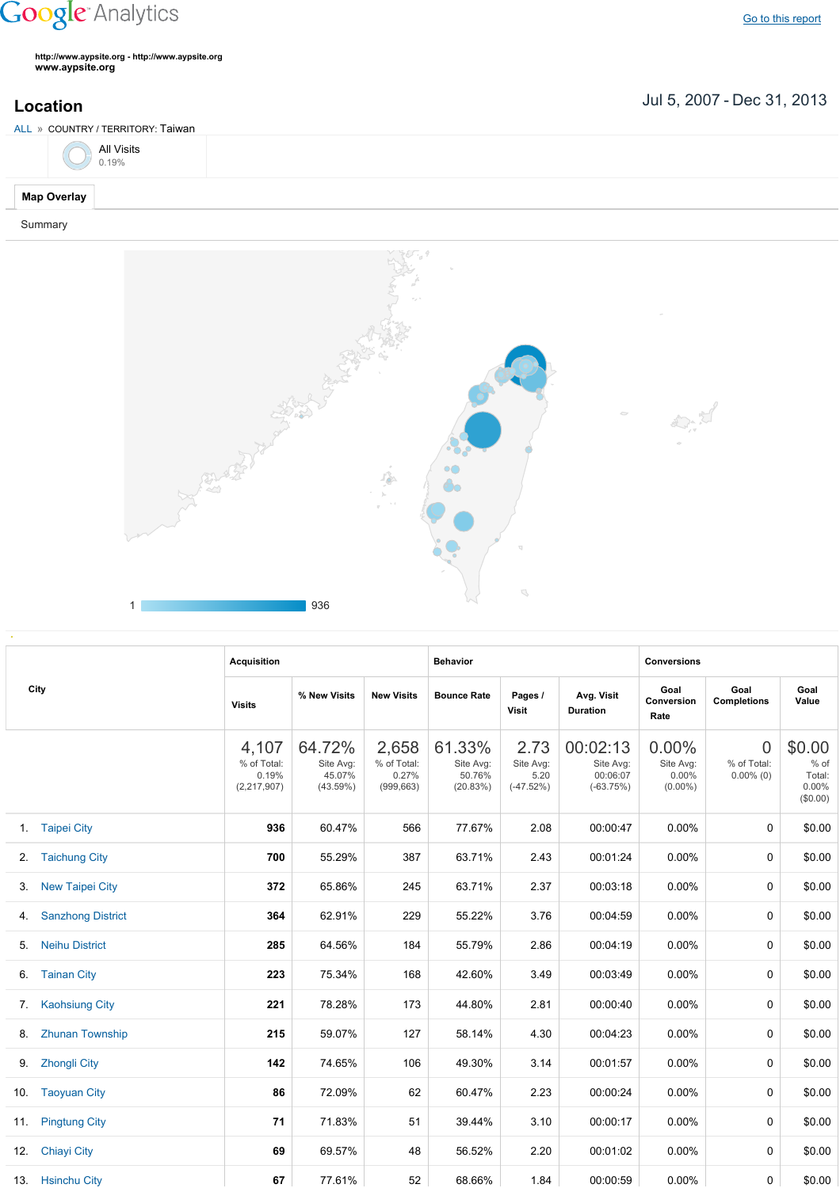## **Google** Analytics

Go to this [report](https://www.google.com/analytics/web/?utm_source=pdfReportLink#report/visitors-geo/a2184169w3912412p4016214/%3F_u.date00%3D20070705%26_u.date01%3D20131231%26geo-table.plotKeys%3D%5B%5D%26geo-table.rowStart%3D0%26geo-table.rowCount%3D1000%26_r.drilldown%3Danalytics.country%3ATW/)

**http://www.aypsite.org http://www.aypsite.org www.aypsite.org**

Jul 5, 2007 Dec 31, 2013 **Location**

| ALL » COUNTRY / TERRITORY: Taiwan |  |  |  |  |  |  |  |  |
|-----------------------------------|--|--|--|--|--|--|--|--|
| All Visits $0.19\%$               |  |  |  |  |  |  |  |  |
| <b>Map Overlay</b>                |  |  |  |  |  |  |  |  |
| Summary                           |  |  |  |  |  |  |  |  |



|    |                          | <b>Acquisition</b>                             |                                           |                                             | <b>Behavior</b>                           |                                          |                                                  | <b>Conversions</b>                              |                                  |                                                  |
|----|--------------------------|------------------------------------------------|-------------------------------------------|---------------------------------------------|-------------------------------------------|------------------------------------------|--------------------------------------------------|-------------------------------------------------|----------------------------------|--------------------------------------------------|
|    | City                     | <b>Visits</b>                                  | % New Visits                              | <b>New Visits</b>                           | <b>Bounce Rate</b>                        | Pages /<br>Visit                         | Avg. Visit<br><b>Duration</b>                    | Goal<br>Conversion<br>Rate                      | Goal<br><b>Completions</b>       | Goal<br>Value                                    |
|    |                          | 4,107<br>% of Total:<br>0.19%<br>(2, 217, 907) | 64.72%<br>Site Avg:<br>45.07%<br>(43.59%) | 2,658<br>% of Total:<br>0.27%<br>(999, 663) | 61.33%<br>Site Avg:<br>50.76%<br>(20.83%) | 2.73<br>Site Avg:<br>5.20<br>$(-47.52%)$ | 00:02:13<br>Site Avg:<br>00:06:07<br>$(-63.75%)$ | $0.00\%$<br>Site Avg:<br>$0.00\%$<br>$(0.00\%)$ | 0<br>% of Total:<br>$0.00\%$ (0) | \$0.00<br>% of<br>Total:<br>$0.00\%$<br>(\$0.00) |
|    | 1. Taipei City           | 936                                            | 60.47%                                    | 566                                         | 77.67%                                    | 2.08                                     | 00:00:47                                         | 0.00%                                           | 0                                | \$0.00                                           |
|    | 2. Taichung City         | 700                                            | 55.29%                                    | 387                                         | 63.71%                                    | 2.43                                     | 00:01:24                                         | $0.00\%$                                        | 0                                | \$0.00                                           |
| 3. | <b>New Taipei City</b>   | 372                                            | 65.86%                                    | 245                                         | 63.71%                                    | 2.37                                     | 00:03:18                                         | $0.00\%$                                        | 0                                | \$0.00                                           |
| 4. | <b>Sanzhong District</b> | 364                                            | 62.91%                                    | 229                                         | 55.22%                                    | 3.76                                     | 00:04:59                                         | $0.00\%$                                        | 0                                | \$0.00                                           |
| 5. | <b>Neihu District</b>    | 285                                            | 64.56%                                    | 184                                         | 55.79%                                    | 2.86                                     | 00:04:19                                         | $0.00\%$                                        | 0                                | \$0.00                                           |
| 6. | <b>Tainan City</b>       | 223                                            | 75.34%                                    | 168                                         | 42.60%                                    | 3.49                                     | 00:03:49                                         | $0.00\%$                                        | 0                                | \$0.00                                           |
|    | 7. Kaohsiung City        | 221                                            | 78.28%                                    | 173                                         | 44.80%                                    | 2.81                                     | 00:00:40                                         | $0.00\%$                                        | 0                                | \$0.00                                           |
| 8. | <b>Zhunan Township</b>   | 215                                            | 59.07%                                    | 127                                         | 58.14%                                    | 4.30                                     | 00:04:23                                         | 0.00%                                           | 0                                | \$0.00                                           |
| 9. | <b>Zhongli City</b>      | 142                                            | 74.65%                                    | 106                                         | 49.30%                                    | 3.14                                     | 00:01:57                                         | $0.00\%$                                        | 0                                | \$0.00                                           |
|    | 10. Taoyuan City         | 86                                             | 72.09%                                    | 62                                          | 60.47%                                    | 2.23                                     | 00:00:24                                         | $0.00\%$                                        | 0                                | \$0.00                                           |
|    | 11. Pingtung City        | 71                                             | 71.83%                                    | 51                                          | 39.44%                                    | 3.10                                     | 00:00:17                                         | $0.00\%$                                        | 0                                | \$0.00                                           |
|    | 12. Chiayi City          | 69                                             | 69.57%                                    | 48                                          | 56.52%                                    | 2.20                                     | 00:01:02                                         | $0.00\%$                                        | 0                                | \$0.00                                           |
|    | 13. Hsinchu City         | 67                                             | 77.61%                                    | 52                                          | 68.66%                                    | 1.84                                     | 00:00:59                                         | $0.00\%$                                        | 0                                | \$0.00                                           |